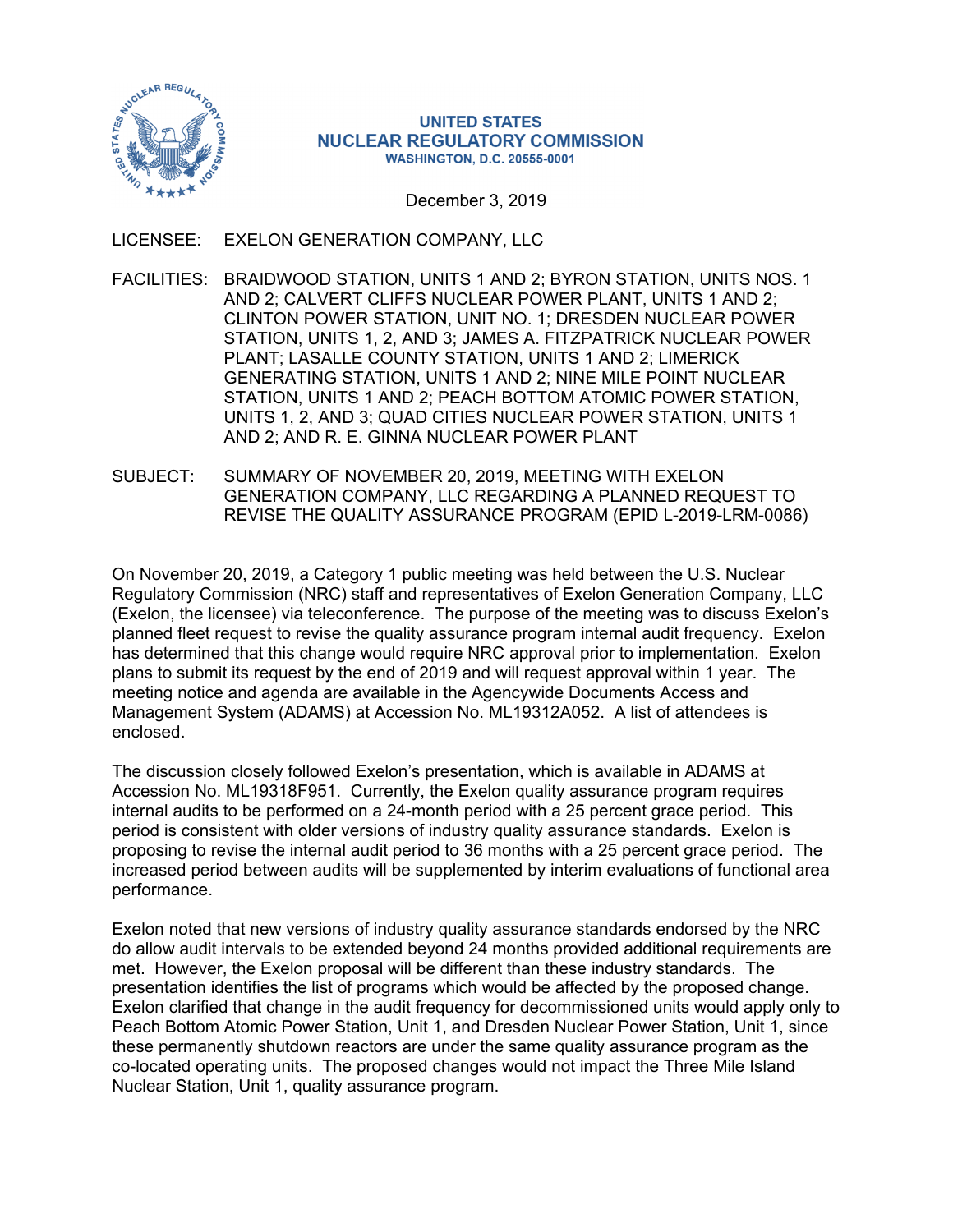

#### **UNITED STATES NUCLEAR REGULATORY COMMISSION WASHINGTON, D.C. 20555-0001**

December 3, 2019

LICENSEE: EXELON GENERATION COMPANY, LLC

- FACILITIES: BRAIDWOOD STATION, UNITS 1 AND 2; BYRON STATION, UNITS NOS. 1 AND 2; CALVERT CLIFFS NUCLEAR POWER PLANT, UNITS 1 AND 2; CLINTON POWER STATION, UNIT NO. 1; DRESDEN NUCLEAR POWER STATION, UNITS 1, 2, AND 3; JAMES A. FITZPATRICK NUCLEAR POWER PLANT; LASALLE COUNTY STATION, UNITS 1 AND 2; LIMERICK GENERATING STATION, UNITS 1 AND 2; NINE MILE POINT NUCLEAR STATION, UNITS 1 AND 2; PEACH BOTTOM ATOMIC POWER STATION, UNITS 1, 2, AND 3; QUAD CITIES NUCLEAR POWER STATION, UNITS 1 AND 2; AND R. E. GINNA NUCLEAR POWER PLANT
- SUBJECT: SUMMARY OF NOVEMBER 20, 2019, MEETING WITH EXELON GENERATION COMPANY, LLC REGARDING A PLANNED REQUEST TO REVISE THE QUALITY ASSURANCE PROGRAM (EPID L-2019-LRM-0086)

On November 20, 2019, a Category 1 public meeting was held between the U.S. Nuclear Regulatory Commission (NRC) staff and representatives of Exelon Generation Company, LLC (Exelon, the licensee) via teleconference. The purpose of the meeting was to discuss Exelon's planned fleet request to revise the quality assurance program internal audit frequency. Exelon has determined that this change would require NRC approval prior to implementation. Exelon plans to submit its request by the end of 2019 and will request approval within 1 year. The meeting notice and agenda are available in the Agencywide Documents Access and Management System (ADAMS) at Accession No. ML19312A052. A list of attendees is enclosed.

The discussion closely followed Exelon's presentation, which is available in ADAMS at Accession No. ML19318F951. Currently, the Exelon quality assurance program requires internal audits to be performed on a 24-month period with a 25 percent grace period. This period is consistent with older versions of industry quality assurance standards. Exelon is proposing to revise the internal audit period to 36 months with a 25 percent grace period. The increased period between audits will be supplemented by interim evaluations of functional area performance.

Exelon noted that new versions of industry quality assurance standards endorsed by the NRC do allow audit intervals to be extended beyond 24 months provided additional requirements are met. However, the Exelon proposal will be different than these industry standards. The presentation identifies the list of programs which would be affected by the proposed change. Exelon clarified that change in the audit frequency for decommissioned units would apply only to Peach Bottom Atomic Power Station, Unit 1, and Dresden Nuclear Power Station, Unit 1, since these permanently shutdown reactors are under the same quality assurance program as the co-located operating units. The proposed changes would not impact the Three Mile Island Nuclear Station, Unit 1, quality assurance program.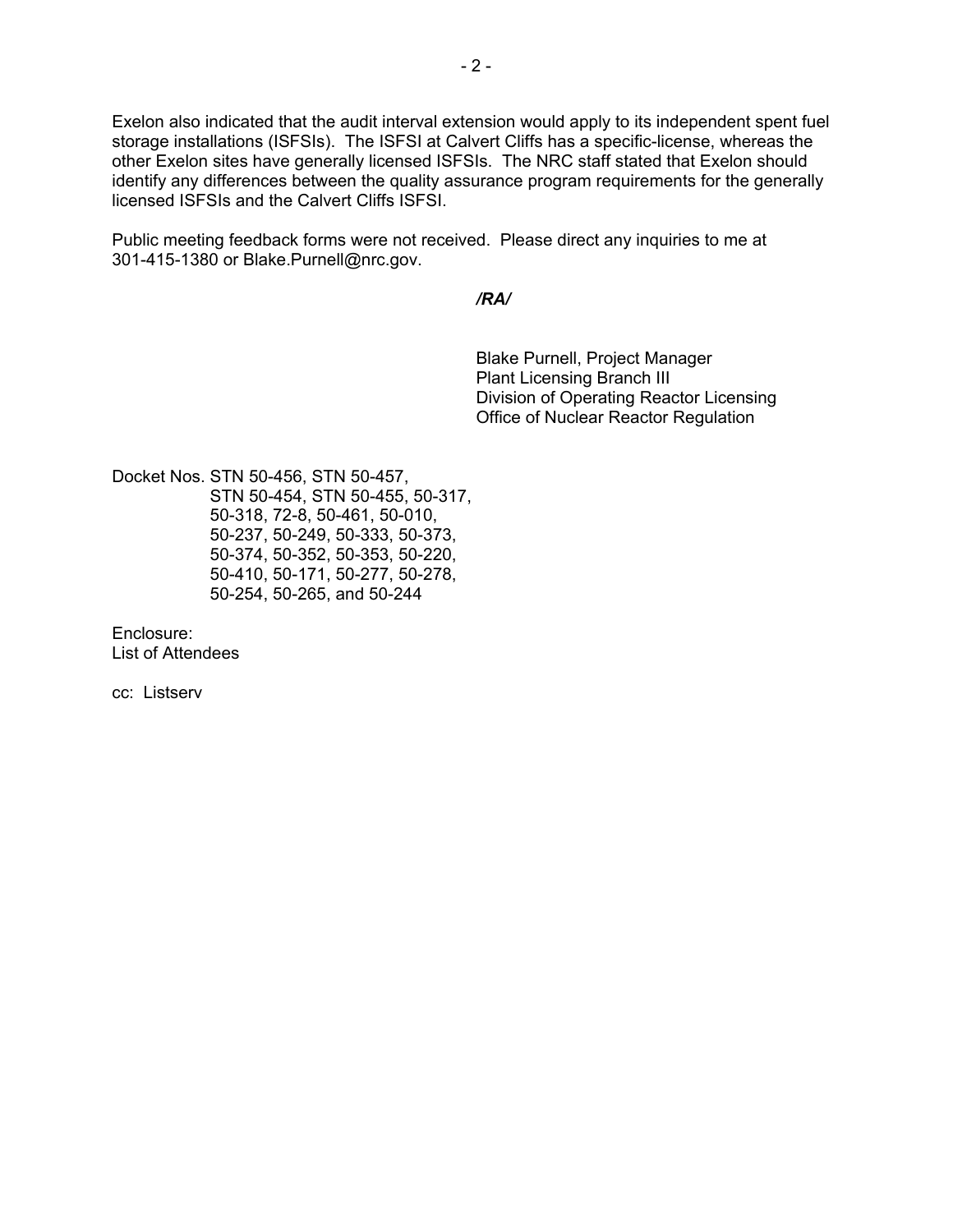Exelon also indicated that the audit interval extension would apply to its independent spent fuel storage installations (ISFSIs). The ISFSI at Calvert Cliffs has a specific-license, whereas the other Exelon sites have generally licensed ISFSIs. The NRC staff stated that Exelon should identify any differences between the quality assurance program requirements for the generally licensed ISFSIs and the Calvert Cliffs ISFSI.

Public meeting feedback forms were not received. Please direct any inquiries to me at 301-415-1380 or Blake.Purnell@nrc.gov.

*/RA/* 

Blake Purnell, Project Manager Plant Licensing Branch III Division of Operating Reactor Licensing Office of Nuclear Reactor Regulation

Docket Nos. STN 50-456, STN 50-457, STN 50-454, STN 50-455, 50-317, 50-318, 72-8, 50-461, 50-010, 50-237, 50-249, 50-333, 50-373, 50-374, 50-352, 50-353, 50-220, 50-410, 50-171, 50-277, 50-278, 50-254, 50-265, and 50-244

Enclosure: List of Attendees

cc: Listserv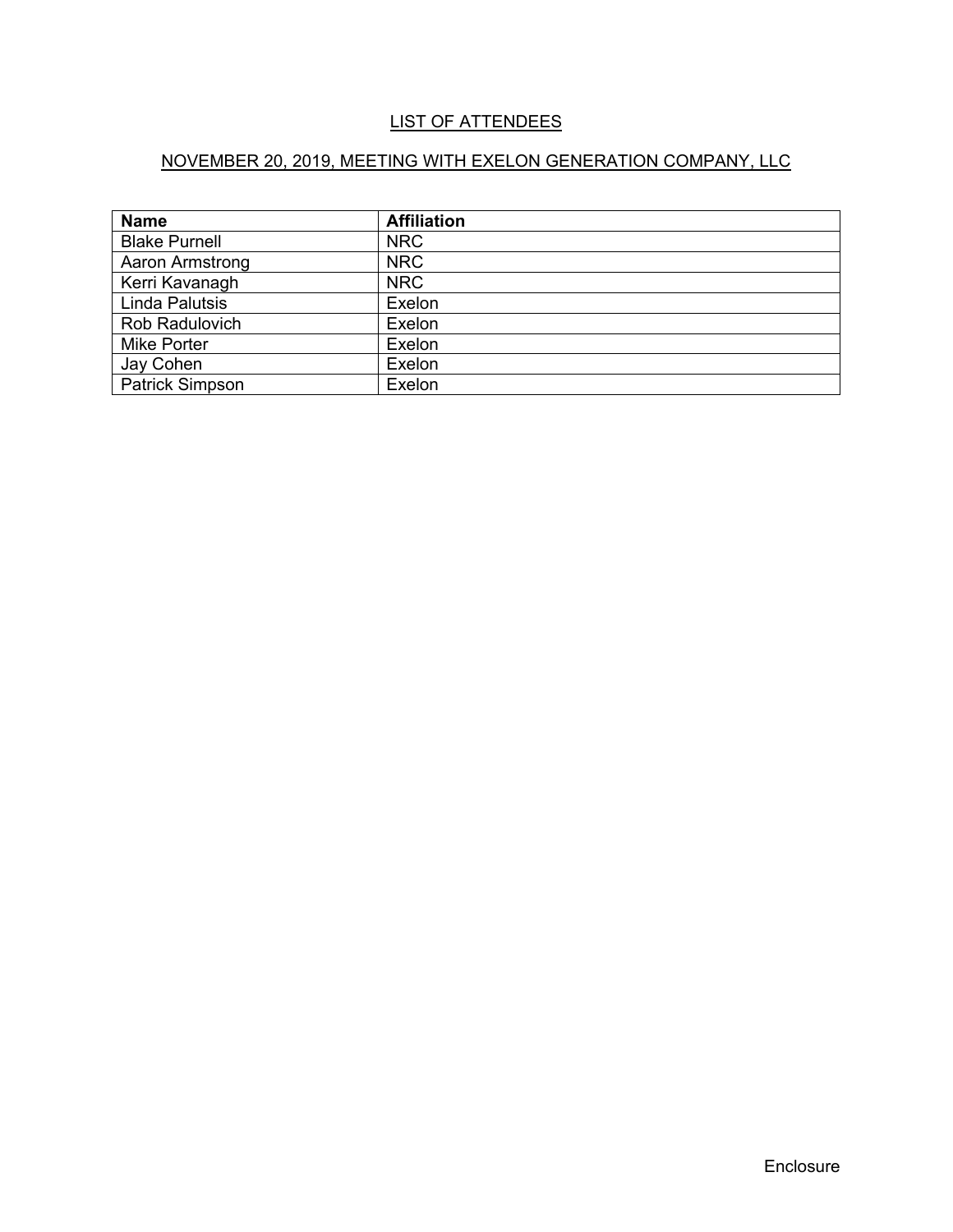# LIST OF ATTENDEES

## NOVEMBER 20, 2019, MEETING WITH EXELON GENERATION COMPANY, LLC

| <b>Name</b>            | <b>Affiliation</b> |
|------------------------|--------------------|
| <b>Blake Purnell</b>   | <b>NRC</b>         |
| Aaron Armstrong        | <b>NRC</b>         |
| Kerri Kavanagh         | <b>NRC</b>         |
| <b>Linda Palutsis</b>  | Exelon             |
| Rob Radulovich         | Exelon             |
| <b>Mike Porter</b>     | Exelon             |
| Jay Cohen              | Exelon             |
| <b>Patrick Simpson</b> | Exelon             |